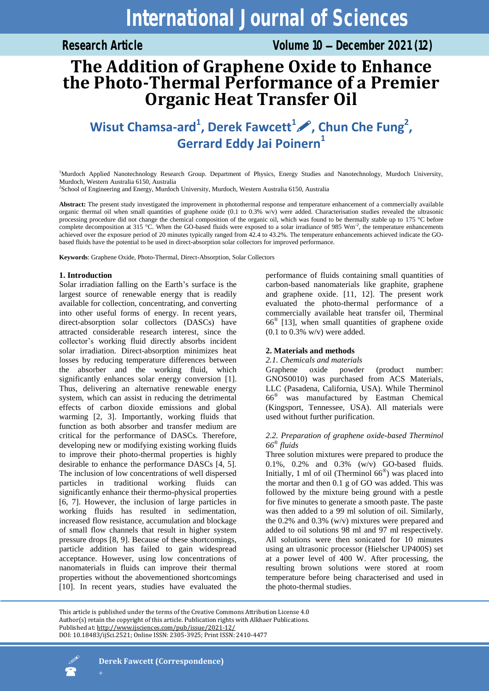Research Article **Volume 10 – December 2021 (12)** 

# **The Addition of Graphene Oxide to Enhance the Photo-Thermal Performance of a Premier Organic Heat Transfer Oil**

## Wisut Chamsa-ard<sup>1</sup>, Derek Fawcett<sup>1</sup> , Chun Che Fung<sup>2</sup>, **Gerrard Eddy Jai Poinern<sup>1</sup>**

<sup>1</sup>Murdoch Applied Nanotechnology Research Group. Department of Physics, Energy Studies and Nanotechnology, Murdoch University, Murdoch, Western Australia 6150, Australia

2 School of Engineering and Energy, Murdoch University, Murdoch, Western Australia 6150, Australia

**Abstract:** The present study investigated the improvement in photothermal response and temperature enhancement of a commercially available organic thermal oil when small quantities of graphene oxide  $(0.1 \text{ to } 0.3\% \text{ w/v})$  were added. Characterisation studies revealed the ultrasonic processing procedure did not change the chemical composition of the organic oil, which was found to be thermally stable up to 175 °C before complete decomposition at 315 °C. When the GO-based fluids were exposed to a solar irradiance of 985 Wm<sup>-2</sup>, the temperature enhancements achieved over the exposure period of 20 minutes typically ranged from 42.4 to 43.2%. The temperature enhancements achieved indicate the GObased fluids have the potential to be used in direct-absorption solar collectors for improved performance.

**Keywords**: Graphene Oxide, Photo-Thermal, Direct-Absorption, Solar Collectors

## **1. Introduction**

Solar irradiation falling on the Earth's surface is the largest source of renewable energy that is readily available for collection, concentrating, and converting into other useful forms of energy. In recent years, direct-absorption solar collectors (DASCs) have attracted considerable research interest, since the collector's working fluid directly absorbs incident solar irradiation. Direct-absorption minimizes heat losses by reducing temperature differences between the absorber and the working fluid, which significantly enhances solar energy conversion [1]. Thus, delivering an alternative renewable energy system, which can assist in reducing the detrimental effects of carbon dioxide emissions and global warming [2, 3]. Importantly, working fluids that function as both absorber and transfer medium are critical for the performance of DASCs. Therefore, developing new or modifying existing working fluids to improve their photo-thermal properties is highly desirable to enhance the performance DASCs [4, 5]. The inclusion of low concentrations of well dispersed particles in traditional working fluids can significantly enhance their thermo-physical properties [6, 7]. However, the inclusion of large particles in working fluids has resulted in sedimentation, increased flow resistance, accumulation and blockage of small flow channels that result in higher system pressure drops [8, 9]. Because of these shortcomings, particle addition has failed to gain widespread acceptance. However, using low concentrations of nanomaterials in fluids can improve their thermal properties without the abovementioned shortcomings [10]. In recent years, studies have evaluated the

performance of fluids containing small quantities of carbon-based nanomaterials like graphite, graphene and graphene oxide. [11, 12]. The present work evaluated the photo-thermal performance of a commercially available heat transfer oil, Therminal  $66^{\circ}$  [13], when small quantities of graphene oxide  $(0.1$  to  $0.3\%$  w/v) were added.

## **2. Materials and methods**

#### *2.1. Chemicals and materials*

Graphene oxide powder (product number: GNOS0010) was purchased from ACS Materials, LLC (Pasadena, California, USA). While Therminol 66® was manufactured by Eastman Chemical (Kingsport, Tennessee, USA). All materials were used without further purification.

## *2.2. Preparation of graphene oxide-based Therminol 66® fluids*

Three solution mixtures were prepared to produce the 0.1%, 0.2% and 0.3% (w/v) GO-based fluids. Initially, 1 ml of oil (Therminol 66® ) was placed into the mortar and then 0.1 g of GO was added. This was followed by the mixture being ground with a pestle for five minutes to generate a smooth paste. The paste was then added to a 99 ml solution of oil. Similarly, the 0.2% and 0.3% (w/v) mixtures were prepared and added to oil solutions 98 ml and 97 ml respectively. All solutions were then sonicated for 10 minutes using an ultrasonic processor (Hielscher UP400S) set at a power level of 400 W. After processing, the resulting brown solutions were stored at room temperature before being characterised and used in the photo-thermal studies.

This article is published under the terms of the Creative Commons Attribution License 4.0 Author(s) retain the copyright of this article. Publication rights with Alkhaer Publications. Published at[: http://www.ijsciences.com/pub/issue/2021](http://www.ijsciences.com/pub/issue/2021-12/)-12/ DOI: 10.18483/ijSci.2521; Online ISSN: 2305-3925; Print ISSN: 2410-4477

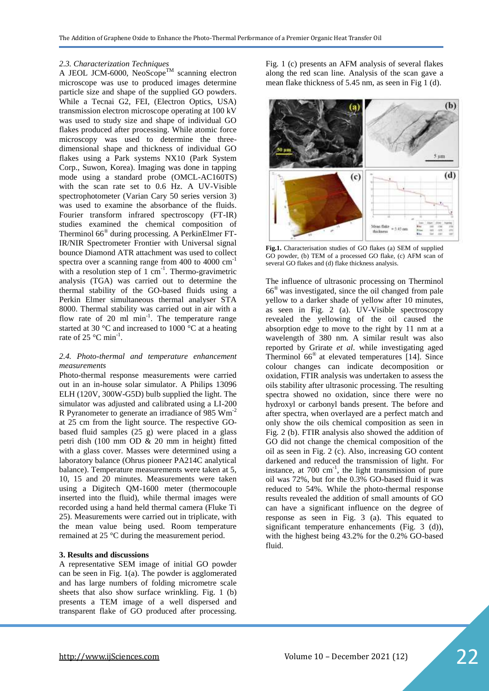#### *2.3. Characterization Techniques*

A JEOL JCM-6000, NeoScope<sup>TM</sup> scanning electron microscope was use to produced images determine particle size and shape of the supplied GO powders. While a Tecnai G2, FEI, (Electron Optics, USA) transmission electron microscope operating at 100 kV was used to study size and shape of individual GO flakes produced after processing. While atomic force microscopy was used to determine the threedimensional shape and thickness of individual GO flakes using a Park systems NX10 (Park System Corp., Suwon, Korea). Imaging was done in tapping mode using a standard probe (OMCL-AC160TS) with the scan rate set to 0.6 Hz. A UV-Visible spectrophotometer (Varian Cary 50 series version 3) was used to examine the absorbance of the fluids. Fourier transform infrared spectroscopy (FT-IR) studies examined the chemical composition of Therminol 66® during processing. A PerkinElmer FT-IR/NIR Spectrometer Frontier with Universal signal bounce Diamond ATR attachment was used to collect spectra over a scanning range from 400 to 4000 cm<sup>-1</sup> with a resolution step of  $1 \text{ cm}^{-1}$ . Thermo-gravimetric analysis (TGA) was carried out to determine the thermal stability of the GO-based fluids using a Perkin Elmer simultaneous thermal analyser STA 8000. Thermal stability was carried out in air with a flow rate of  $20$  ml  $min^{-1}$ . The temperature range started at 30 °C and increased to 1000 °C at a heating rate of 25  $^{\circ}$ C min<sup>-1</sup>.

#### *2.4. Photo-thermal and temperature enhancement measurements*

Photo-thermal response measurements were carried out in an in-house solar simulator. A Philips 13096 ELH (120V, 300W-G5D) bulb supplied the light. The simulator was adjusted and calibrated using a LI-200 R Pyranometer to generate an irradiance of 985 Wm-2 at 25 cm from the light source. The respective GObased fluid samples (25 g) were placed in a glass petri dish (100 mm OD & 20 mm in height) fitted with a glass cover. Masses were determined using a laboratory balance (Ohrus pioneer PA214C analytical balance). Temperature measurements were taken at 5, 10, 15 and 20 minutes. Measurements were taken using a Digitech QM-1600 meter (thermocouple inserted into the fluid), while thermal images were recorded using a hand held thermal camera (Fluke Ti 25). Measurements were carried out in triplicate, with the mean value being used. Room temperature remained at 25 °C during the measurement period.

#### **3. Results and discussions**

A representative SEM image of initial GO powder can be seen in Fig. 1(a). The powder is agglomerated and has large numbers of folding micrometre scale sheets that also show surface wrinkling. Fig. 1 (b) presents a TEM image of a well dispersed and transparent flake of GO produced after processing.

Fig. 1 (c) presents an AFM analysis of several flakes along the red scan line. Analysis of the scan gave a mean flake thickness of 5.45 nm, as seen in Fig 1 (d).



**Fig.1.** Characterisation studies of GO flakes (a) SEM of supplied GO powder, (b) TEM of a processed GO flake, (c) AFM scan of several GO flakes and (d) flake thickness analysis.

The influence of ultrasonic processing on Therminol 66® was investigated, since the oil changed from pale yellow to a darker shade of yellow after 10 minutes, as seen in Fig. 2 (a). UV-Visible spectroscopy revealed the yellowing of the oil caused the absorption edge to move to the right by 11 nm at a wavelength of 380 nm. A similar result was also reported by Grirate *et al*. while investigating aged Therminol 66® at elevated temperatures [14]. Since colour changes can indicate decomposition or oxidation, FTIR analysis was undertaken to assess the oils stability after ultrasonic processing. The resulting spectra showed no oxidation, since there were no hydroxyl or carbonyl bands present. The before and after spectra, when overlayed are a perfect match and only show the oils chemical composition as seen in Fig. 2 (b). FTIR analysis also showed the addition of GO did not change the chemical composition of the oil as seen in Fig. 2 (c). Also, increasing GO content darkened and reduced the transmission of light. For instance, at  $700 \text{ cm}^{-1}$ , the light transmission of pure oil was 72%, but for the 0.3% GO-based fluid it was reduced to 54%. While the photo-thermal response results revealed the addition of small amounts of GO can have a significant influence on the degree of response as seen in Fig. 3 (a). This equated to significant temperature enhancements (Fig. 3 (d)), with the highest being 43.2% for the 0.2% GO-based fluid.